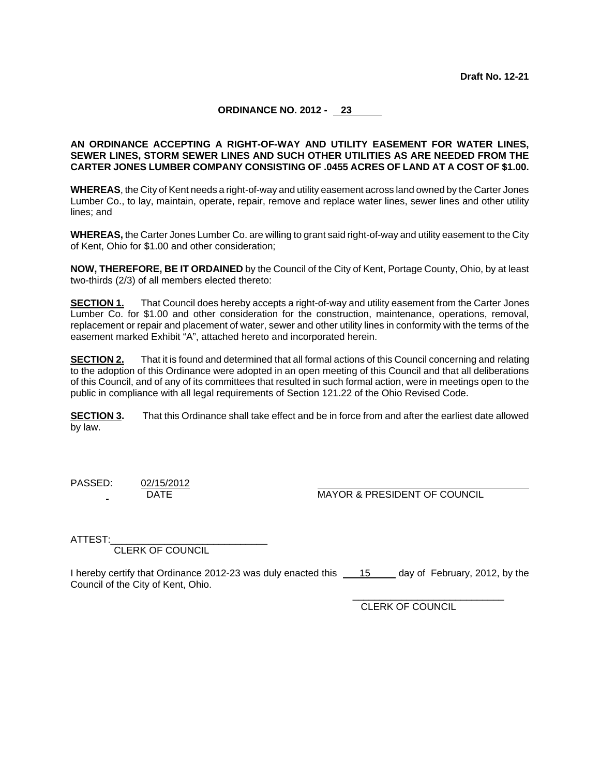# **ORDINANCE NO. 2012 - 23**

## **AN ORDINANCE ACCEPTING A RIGHT-OF-WAY AND UTILITY EASEMENT FOR WATER LINES, SEWER LINES, STORM SEWER LINES AND SUCH OTHER UTILITIES AS ARE NEEDED FROM THE CARTER JONES LUMBER COMPANY CONSISTING OF .0455 ACRES OF LAND AT A COST OF \$1.00.**

**WHEREAS**, the City of Kent needs a right-of-way and utility easement across land owned by the Carter Jones Lumber Co., to lay, maintain, operate, repair, remove and replace water lines, sewer lines and other utility lines; and

**WHEREAS,** the Carter Jones Lumber Co. are willing to grant said right-of-way and utility easement to the City of Kent, Ohio for \$1.00 and other consideration;

**NOW, THEREFORE, BE IT ORDAINED** by the Council of the City of Kent, Portage County, Ohio, by at least two-thirds (2/3) of all members elected thereto:

**SECTION 1.** That Council does hereby accepts a right-of-way and utility easement from the Carter Jones Lumber Co. for \$1.00 and other consideration for the construction, maintenance, operations, removal, replacement or repair and placement of water, sewer and other utility lines in conformity with the terms of the easement marked Exhibit "A", attached hereto and incorporated herein.

**SECTION 2.** That it is found and determined that all formal actions of this Council concerning and relating to the adoption of this Ordinance were adopted in an open meeting of this Council and that all deliberations of this Council, and of any of its committees that resulted in such formal action, were in meetings open to the public in compliance with all legal requirements of Section 121.22 of the Ohio Revised Code.

**SECTION 3.** That this Ordinance shall take effect and be in force from and after the earliest date allowed by law.

PASSED: 02/15/2012

DATE MAYOR & PRESIDENT OF COUNCIL

ATTEST:

CLERK OF COUNCIL

I hereby certify that Ordinance 2012-23 was duly enacted this 15 day of February, 2012, by the Council of the City of Kent, Ohio.

CLERK OF COUNCIL

\_\_\_\_\_\_\_\_\_\_\_\_\_\_\_\_\_\_\_\_\_\_\_\_\_\_\_\_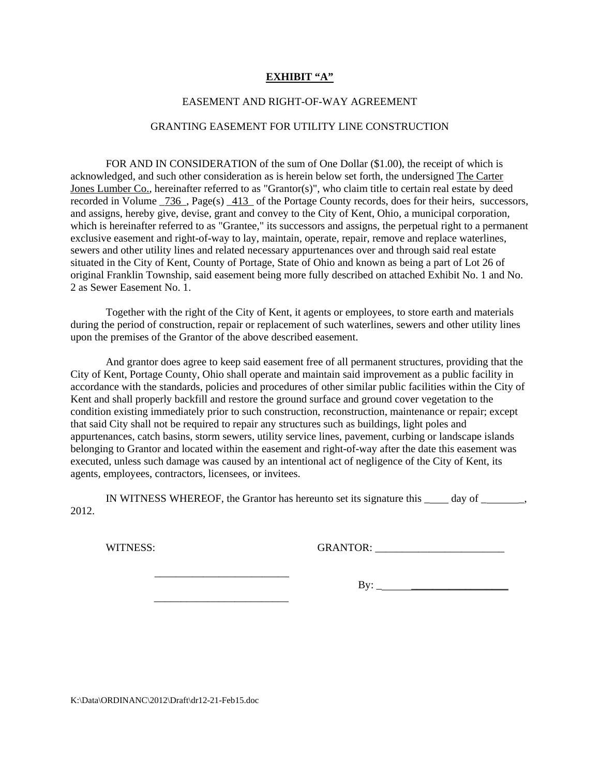## **EXHIBIT "A"**

## EASEMENT AND RIGHT-OF-WAY AGREEMENT

### GRANTING EASEMENT FOR UTILITY LINE CONSTRUCTION

FOR AND IN CONSIDERATION of the sum of One Dollar (\$1.00), the receipt of which is acknowledged, and such other consideration as is herein below set forth, the undersigned The Carter Jones Lumber Co., hereinafter referred to as "Grantor(s)", who claim title to certain real estate by deed recorded in Volume  $736$ , Page(s)  $413$  of the Portage County records, does for their heirs, successors, and assigns, hereby give, devise, grant and convey to the City of Kent, Ohio, a municipal corporation, which is hereinafter referred to as "Grantee," its successors and assigns, the perpetual right to a permanent exclusive easement and right-of-way to lay, maintain, operate, repair, remove and replace waterlines, sewers and other utility lines and related necessary appurtenances over and through said real estate situated in the City of Kent, County of Portage, State of Ohio and known as being a part of Lot 26 of original Franklin Township, said easement being more fully described on attached Exhibit No. 1 and No. 2 as Sewer Easement No. 1.

 Together with the right of the City of Kent, it agents or employees, to store earth and materials during the period of construction, repair or replacement of such waterlines, sewers and other utility lines upon the premises of the Grantor of the above described easement.

 And grantor does agree to keep said easement free of all permanent structures, providing that the City of Kent, Portage County, Ohio shall operate and maintain said improvement as a public facility in accordance with the standards, policies and procedures of other similar public facilities within the City of Kent and shall properly backfill and restore the ground surface and ground cover vegetation to the condition existing immediately prior to such construction, reconstruction, maintenance or repair; except that said City shall not be required to repair any structures such as buildings, light poles and appurtenances, catch basins, storm sewers, utility service lines, pavement, curbing or landscape islands belonging to Grantor and located within the easement and right-of-way after the date this easement was executed, unless such damage was caused by an intentional act of negligence of the City of Kent, its agents, employees, contractors, licensees, or invitees.

 IN WITNESS WHEREOF, the Grantor has hereunto set its signature this \_ day of \_ \_, 2012.

WITNESS: GRANTOR: \_\_\_\_\_\_\_\_\_\_\_\_\_\_\_\_\_\_\_\_\_\_\_\_

 $\frac{1}{2}$  ,  $\frac{1}{2}$  ,  $\frac{1}{2}$  ,  $\frac{1}{2}$  ,  $\frac{1}{2}$  ,  $\frac{1}{2}$  ,  $\frac{1}{2}$  ,  $\frac{1}{2}$  ,  $\frac{1}{2}$  ,  $\frac{1}{2}$  ,  $\frac{1}{2}$  ,  $\frac{1}{2}$  ,  $\frac{1}{2}$  ,  $\frac{1}{2}$  ,  $\frac{1}{2}$  ,  $\frac{1}{2}$  ,  $\frac{1}{2}$  ,  $\frac{1}{2}$  ,  $\frac{1$ 

 $\frac{1}{\sqrt{2}}$  ,  $\frac{1}{\sqrt{2}}$  ,  $\frac{1}{\sqrt{2}}$  ,  $\frac{1}{\sqrt{2}}$  ,  $\frac{1}{\sqrt{2}}$  ,  $\frac{1}{\sqrt{2}}$  ,  $\frac{1}{\sqrt{2}}$  ,  $\frac{1}{\sqrt{2}}$  ,  $\frac{1}{\sqrt{2}}$  ,  $\frac{1}{\sqrt{2}}$  ,  $\frac{1}{\sqrt{2}}$  ,  $\frac{1}{\sqrt{2}}$  ,  $\frac{1}{\sqrt{2}}$  ,  $\frac{1}{\sqrt{2}}$  ,  $\frac{1}{\sqrt{2}}$ 

 $\text{By:}\_$ 

K:\Data\ORDINANC\2012\Draft\dr12-21-Feb15.doc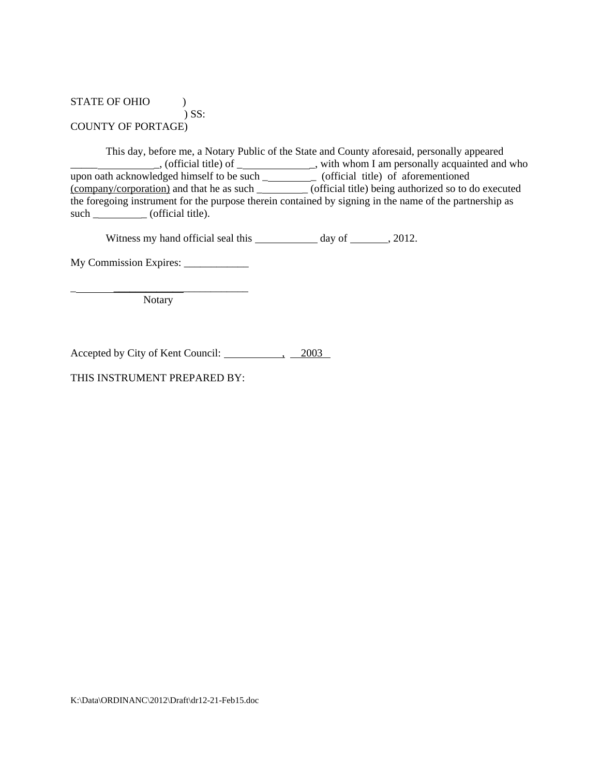# STATE OF OHIO  $\qquad$  ) ) SS: COUNTY OF PORTAGE)

 This day, before me, a Notary Public of the State and County aforesaid, personally appeared \_\_\_\_\_ \_, (official title) of \_ \_, with whom I am personally acquainted and who upon oath acknowledged himself to be such \_\_\_\_\_\_\_\_\_\_\_\_\_ (official title) of aforementioned (company/corporation) and that he as such \_ \_ (official title) being authorized so to do executed the foregoing instrument for the purpose therein contained by signing in the name of the partnership as such  $\_\_\_\_\_$  (official title).

Witness my hand official seal this  $\qquad \qquad$  day of  $\qquad \qquad$ , 2012.

My Commission Expires:

\_ \_\_\_\_\_\_\_\_\_\_\_\_\_\_\_\_\_\_\_\_\_\_\_\_\_ Notary

Accepted by City of Kent Council: 4. 2003

THIS INSTRUMENT PREPARED BY: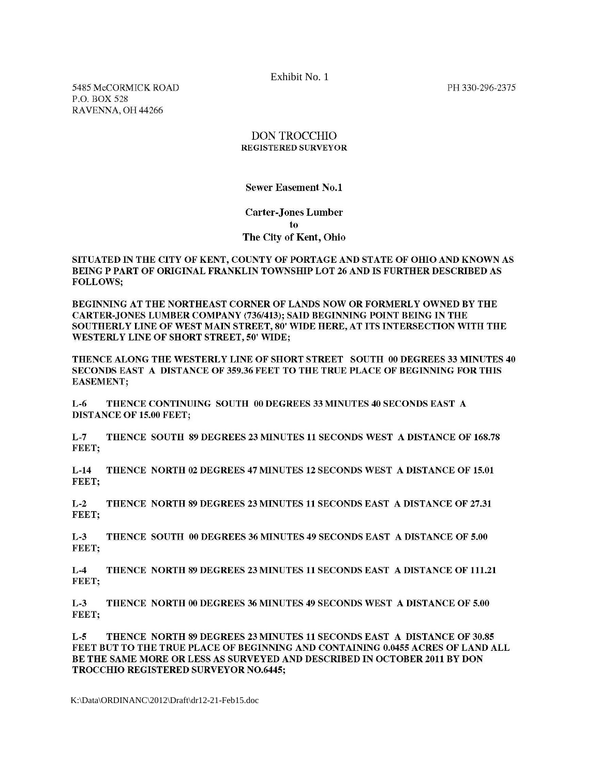Exhibit No. 1

PH 330-296-2375

5485 McCORMICK ROAD P.O. BOX 528 RAVENNA, OH 44266

### **DON TROCCHIO REGISTERED SURVEYOR**

**Sewer Easement No.1** 

## **Carter-Jones Lumber** to The City of Kent, Ohio

#### SITUATED IN THE CITY OF KENT, COUNTY OF PORTAGE AND STATE OF OHIO AND KNOWN AS BEING P PART OF ORIGINAL FRANKLIN TOWNSHIP LOT 26 AND IS FURTHER DESCRIBED AS **FOLLOWS:**

BEGINNING AT THE NORTHEAST CORNER OF LANDS NOW OR FORMERLY OWNED BY THE CARTER-JONES LUMBER COMPANY (736/413); SAID BEGINNING POINT BEING IN THE SOUTHERLY LINE OF WEST MAIN STREET, 80' WIDE HERE, AT ITS INTERSECTION WITH THE **WESTERLY LINE OF SHORT STREET, 50' WIDE:** 

THENCE ALONG THE WESTERLY LINE OF SHORT STREET SOUTH 00 DEGREES 33 MINUTES 40 SECONDS EAST A DISTANCE OF 359.36 FEET TO THE TRUE PLACE OF BEGINNING FOR THIS **EASEMENT:** 

THENCE CONTINUING SOUTH 00 DEGREES 33 MINUTES 40 SECONDS EAST A  $L-6$ **DISTANCE OF 15.00 FEET;** 

 $L-7$ THENCE SOUTH 89 DEGREES 23 MINUTES 11 SECONDS WEST A DISTANCE OF 168.78 FEET:

 $L-14$ THENCE NORTH 02 DEGREES 47 MINUTES 12 SECONDS WEST A DISTANCE OF 15.01 FEET:

 $L-2$ THENCE NORTH 89 DEGREES 23 MINUTES 11 SECONDS EAST A DISTANCE OF 27.31 FEET:

 $L-3$ THENCE SOUTH 00 DEGREES 36 MINUTES 49 SECONDS EAST A DISTANCE OF 5.00 FEET:

 $L-4$ THENCE NORTH 89 DEGREES 23 MINUTES 11 SECONDS EAST A DISTANCE OF 111.21 FEET;

 $L-3$ THENCE NORTH 00 DEGREES 36 MINUTES 49 SECONDS WEST A DISTANCE OF 5.00 FEET;

 $L-5$ THENCE NORTH 89 DEGREES 23 MINUTES 11 SECONDS EAST A DISTANCE OF 30.85 FEET BUT TO THE TRUE PLACE OF BEGINNING AND CONTAINING 0.0455 ACRES OF LAND ALL BE THE SAME MORE OR LESS AS SURVEYED AND DESCRIBED IN OCTOBER 2011 BY DON **TROCCHIO REGISTERED SURVEYOR NO.6445:** 

K:\Data\ORDINANC\2012\Draft\dr12-21-Feb15.doc